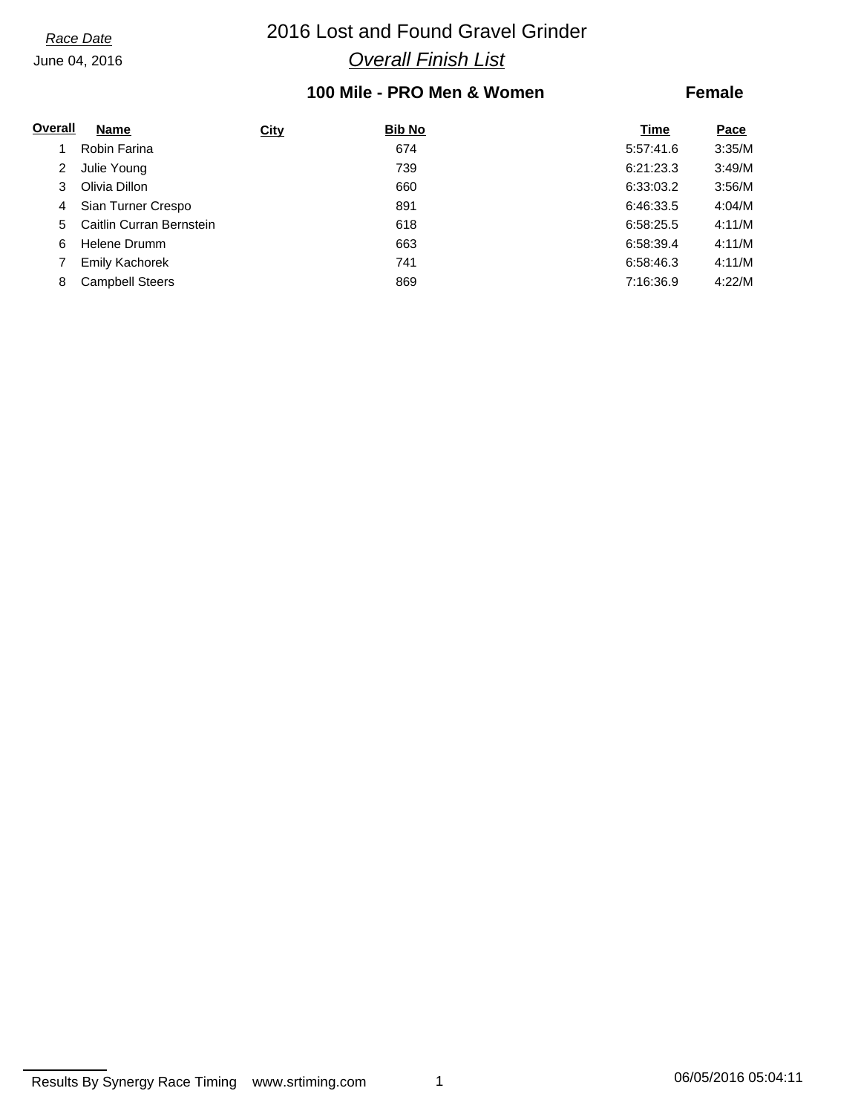# *Race Date* 2016 Lost and Found Gravel Grinder *Overall Finish List*

## **100 Mile - PRO Men & Women**

### **Female**

| Overall | Name                     | <b>City</b> | <b>Bib No</b> | Time      | Pace   |
|---------|--------------------------|-------------|---------------|-----------|--------|
|         | Robin Farina             |             | 674           | 5:57:41.6 | 3:35/M |
| 2       | Julie Young              |             | 739           | 6:21:23.3 | 3:49/M |
| 3       | Olivia Dillon            |             | 660           | 6:33:03.2 | 3:56/M |
| 4       | Sian Turner Crespo       |             | 891           | 6:46:33.5 | 4:04/M |
| 5       | Caitlin Curran Bernstein |             | 618           | 6:58:25.5 | 4:11/M |
| 6       | Helene Drumm             |             | 663           | 6:58:39.4 | 4:11/M |
|         | Emily Kachorek           |             | 741           | 6:58:46.3 | 4:11/M |
| 8       | <b>Campbell Steers</b>   |             | 869           | 7:16:36.9 | 4:22/M |

Results By Synergy Race Timing www.srtiming.com 1 1 1 06/05/2016 05:04:11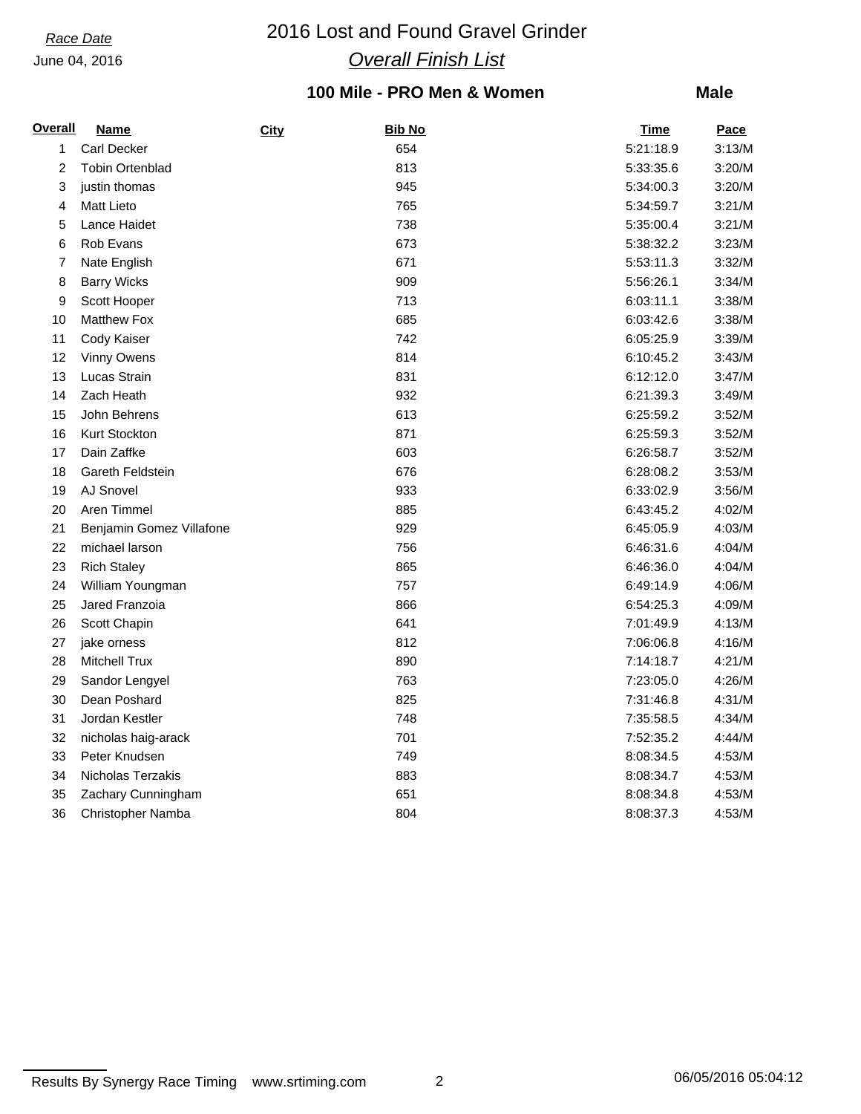# *Race Date* 2016 Lost and Found Gravel Grinder *Overall Finish List*

## **100 Mile - PRO Men & Women**

| <b>Overall</b> | <b>Name</b>              | City | <b>Bib No</b> | <b>Time</b> | Pace   |
|----------------|--------------------------|------|---------------|-------------|--------|
| 1              | Carl Decker              |      | 654           | 5:21:18.9   | 3:13/M |
| $\overline{c}$ | <b>Tobin Ortenblad</b>   |      | 813           | 5:33:35.6   | 3:20/M |
| 3              | justin thomas            |      | 945           | 5:34:00.3   | 3:20/M |
| 4              | <b>Matt Lieto</b>        |      | 765           | 5:34:59.7   | 3:21/M |
| 5              | Lance Haidet             |      | 738           | 5:35:00.4   | 3:21/M |
| 6              | Rob Evans                |      | 673           | 5:38:32.2   | 3:23/M |
| 7              | Nate English             |      | 671           | 5:53:11.3   | 3:32/M |
| 8              | <b>Barry Wicks</b>       |      | 909           | 5:56:26.1   | 3:34/M |
| 9              | Scott Hooper             |      | 713           | 6:03:11.1   | 3:38/M |
| 10             | <b>Matthew Fox</b>       |      | 685           | 6:03:42.6   | 3:38/M |
| 11             | Cody Kaiser              |      | 742           | 6:05:25.9   | 3:39/M |
| 12             | Vinny Owens              |      | 814           | 6:10:45.2   | 3:43/M |
| 13             | Lucas Strain             |      | 831           | 6:12:12.0   | 3:47/M |
| 14             | Zach Heath               |      | 932           | 6:21:39.3   | 3:49/M |
| 15             | John Behrens             |      | 613           | 6:25:59.2   | 3:52/M |
| 16             | Kurt Stockton            |      | 871           | 6:25:59.3   | 3:52/M |
| 17             | Dain Zaffke              |      | 603           | 6:26:58.7   | 3:52/M |
| 18             | Gareth Feldstein         |      | 676           | 6:28:08.2   | 3:53/M |
| 19             | AJ Snovel                |      | 933           | 6:33:02.9   | 3:56/M |
| 20             | Aren Timmel              |      | 885           | 6:43:45.2   | 4:02/M |
| 21             | Benjamin Gomez Villafone |      | 929           | 6:45:05.9   | 4:03/M |
| 22             | michael larson           |      | 756           | 6:46:31.6   | 4:04/M |
| 23             | <b>Rich Staley</b>       |      | 865           | 6:46:36.0   | 4:04/M |
| 24             | William Youngman         |      | 757           | 6:49:14.9   | 4:06/M |
| 25             | Jared Franzoia           |      | 866           | 6:54:25.3   | 4:09/M |
| 26             | Scott Chapin             |      | 641           | 7:01:49.9   | 4:13/M |
| 27             | jake orness              |      | 812           | 7:06:06.8   | 4:16/M |
| 28             | <b>Mitchell Trux</b>     |      | 890           | 7:14:18.7   | 4:21/M |
| 29             | Sandor Lengyel           |      | 763           | 7:23:05.0   | 4:26/M |
| 30             | Dean Poshard             |      | 825           | 7:31:46.8   | 4:31/M |
| 31             | Jordan Kestler           |      | 748           | 7:35:58.5   | 4:34/M |
| 32             | nicholas haig-arack      |      | 701           | 7:52:35.2   | 4:44/M |
| 33             | Peter Knudsen            |      | 749           | 8:08:34.5   | 4:53/M |
| 34             | Nicholas Terzakis        |      | 883           | 8:08:34.7   | 4:53/M |
| 35             | Zachary Cunningham       |      | 651           | 8:08:34.8   | 4:53/M |
| 36             | <b>Christopher Namba</b> |      | 804           | 8:08:37.3   | 4:53/M |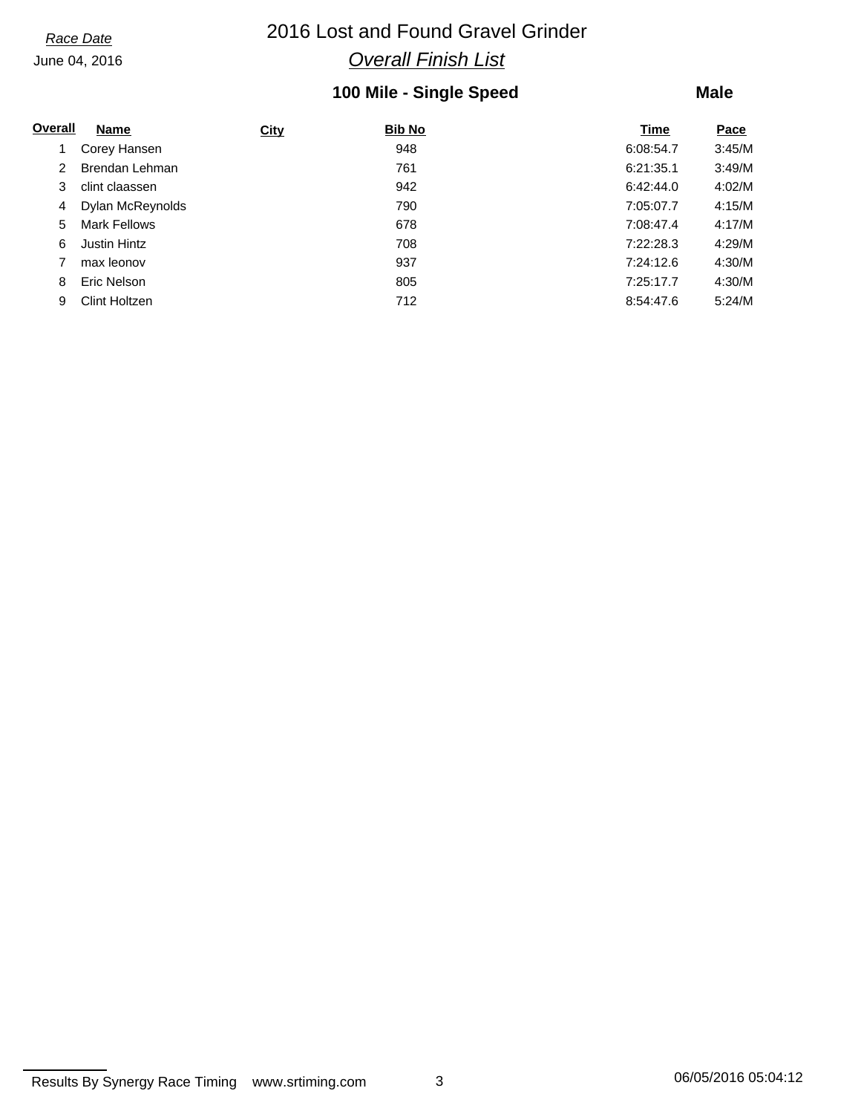# *Race Date* 2016 Lost and Found Gravel Grinder *Overall Finish List*

## **100 Mile - Single Speed**

### **Male**

| Overall | Name                 | <b>City</b> | <b>Bib No</b> | Time      | Pace   |
|---------|----------------------|-------------|---------------|-----------|--------|
|         | Corey Hansen         |             | 948           | 6:08:54.7 | 3:45/M |
| 2       | Brendan Lehman       |             | 761           | 6:21:35.1 | 3:49/M |
| 3       | clint claassen       |             | 942           | 6:42:44.0 | 4:02/M |
| 4       | Dylan McReynolds     |             | 790           | 7:05:07.7 | 4:15/M |
| 5.      | <b>Mark Fellows</b>  |             | 678           | 7:08:47.4 | 4:17/M |
| 6       | <b>Justin Hintz</b>  |             | 708           | 7:22:28.3 | 4:29/M |
|         | max leonov           |             | 937           | 7:24:12.6 | 4:30/M |
| 8       | Eric Nelson          |             | 805           | 7:25:17.7 | 4:30/M |
| 9       | <b>Clint Holtzen</b> |             | 712           | 8:54:47.6 | 5:24/M |

Results By Synergy Race Timing www.srtiming.com 3 3 3 06/05/2016 05:04:12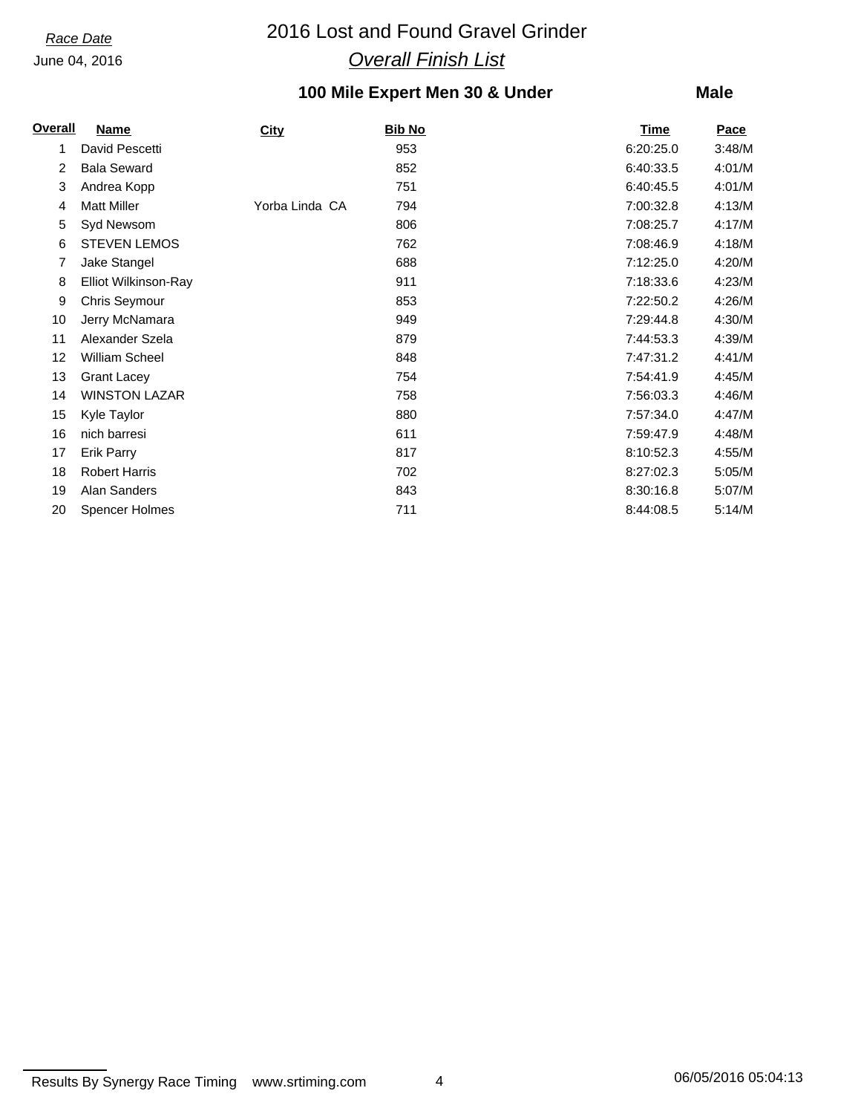# *Race Date* 2016 Lost and Found Gravel Grinder *Overall Finish List*

# **100 Mile Expert Men 30 & Under**

| <b>Overall</b> | <b>Name</b>           | <b>City</b>    | Bib No | <b>Time</b> | Pace   |
|----------------|-----------------------|----------------|--------|-------------|--------|
| 1              | David Pescetti        |                | 953    | 6:20:25.0   | 3:48/M |
| 2              | <b>Bala Seward</b>    |                | 852    | 6:40:33.5   | 4:01/M |
| 3              | Andrea Kopp           |                | 751    | 6:40:45.5   | 4:01/M |
| 4              | <b>Matt Miller</b>    | Yorba Linda CA | 794    | 7:00:32.8   | 4:13/M |
| 5              | Syd Newsom            |                | 806    | 7:08:25.7   | 4:17/M |
| 6              | <b>STEVEN LEMOS</b>   |                | 762    | 7:08:46.9   | 4:18/M |
| 7              | Jake Stangel          |                | 688    | 7:12:25.0   | 4:20/M |
| 8              | Elliot Wilkinson-Ray  |                | 911    | 7:18:33.6   | 4:23/M |
| 9              | Chris Seymour         |                | 853    | 7:22:50.2   | 4:26/M |
| 10             | Jerry McNamara        |                | 949    | 7:29:44.8   | 4:30/M |
| 11             | Alexander Szela       |                | 879    | 7:44:53.3   | 4:39/M |
| 12             | <b>William Scheel</b> |                | 848    | 7:47:31.2   | 4:41/M |
| 13             | <b>Grant Lacey</b>    |                | 754    | 7:54:41.9   | 4:45/M |
| 14             | <b>WINSTON LAZAR</b>  |                | 758    | 7:56:03.3   | 4:46/M |
| 15             | Kyle Taylor           |                | 880    | 7:57:34.0   | 4:47/M |
| 16             | nich barresi          |                | 611    | 7:59:47.9   | 4:48/M |
| 17             | <b>Erik Parry</b>     |                | 817    | 8:10:52.3   | 4:55/M |
| 18             | <b>Robert Harris</b>  |                | 702    | 8:27:02.3   | 5:05/M |
| 19             | Alan Sanders          |                | 843    | 8:30:16.8   | 5:07/M |
| 20             | <b>Spencer Holmes</b> |                | 711    | 8:44:08.5   | 5:14/M |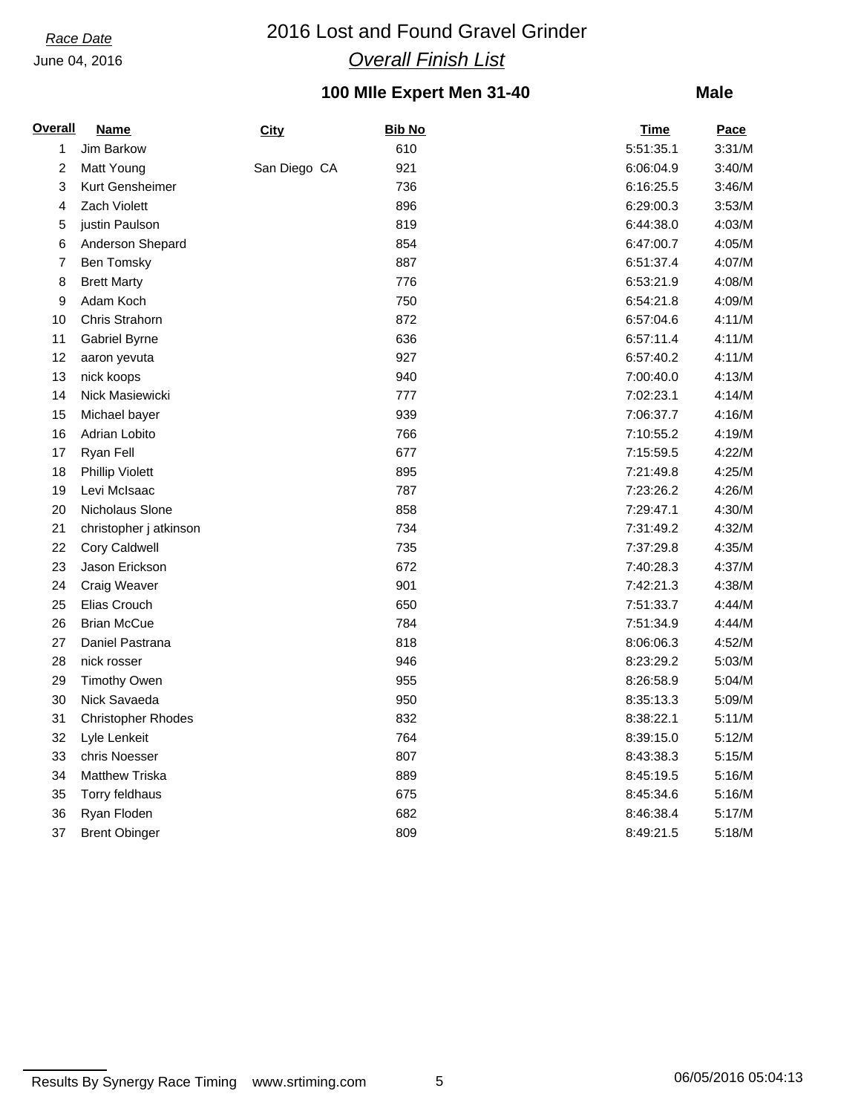# *Race Date* 2016 Lost and Found Gravel Grinder *Overall Finish List*

# **100 MIle Expert Men 31-40**

| <b>Overall</b> | <b>Name</b>               | City         | <b>Bib No</b> | <b>Time</b> | <b>Pace</b> |
|----------------|---------------------------|--------------|---------------|-------------|-------------|
| 1              | Jim Barkow                |              | 610           | 5:51:35.1   | 3:31/M      |
| 2              | Matt Young                | San Diego CA | 921           | 6:06:04.9   | 3:40/M      |
| 3              | Kurt Gensheimer           |              | 736           | 6:16:25.5   | 3:46/M      |
| 4              | Zach Violett              |              | 896           | 6:29:00.3   | 3:53/M      |
| 5              | justin Paulson            |              | 819           | 6:44:38.0   | 4:03/M      |
| 6              | Anderson Shepard          |              | 854           | 6:47:00.7   | 4:05/M      |
| 7              | <b>Ben Tomsky</b>         |              | 887           | 6:51:37.4   | 4:07/M      |
| 8              | <b>Brett Marty</b>        |              | 776           | 6:53:21.9   | 4:08/M      |
| 9              | Adam Koch                 |              | 750           | 6:54:21.8   | 4:09/M      |
| 10             | Chris Strahorn            |              | 872           | 6:57:04.6   | 4:11/M      |
| 11             | Gabriel Byrne             |              | 636           | 6:57:11.4   | 4:11/M      |
| 12             | aaron yevuta              |              | 927           | 6:57:40.2   | 4:11/M      |
| 13             | nick koops                |              | 940           | 7:00:40.0   | 4:13/M      |
| 14             | Nick Masiewicki           |              | 777           | 7:02:23.1   | 4:14/M      |
| 15             | Michael bayer             |              | 939           | 7:06:37.7   | 4:16/M      |
| 16             | Adrian Lobito             |              | 766           | 7:10:55.2   | 4:19/M      |
| 17             | Ryan Fell                 |              | 677           | 7:15:59.5   | 4:22/M      |
| 18             | <b>Phillip Violett</b>    |              | 895           | 7:21:49.8   | 4:25/M      |
| 19             | Levi McIsaac              |              | 787           | 7:23:26.2   | 4:26/M      |
| 20             | Nicholaus Slone           |              | 858           | 7:29:47.1   | 4:30/M      |
| 21             | christopher j atkinson    |              | 734           | 7:31:49.2   | 4:32/M      |
| 22             | Cory Caldwell             |              | 735           | 7:37:29.8   | 4:35/M      |
| 23             | Jason Erickson            |              | 672           | 7:40:28.3   | 4:37/M      |
| 24             | Craig Weaver              |              | 901           | 7:42:21.3   | 4:38/M      |
| 25             | Elias Crouch              |              | 650           | 7:51:33.7   | 4:44/M      |
| 26             | <b>Brian McCue</b>        |              | 784           | 7:51:34.9   | 4:44/M      |
| 27             | Daniel Pastrana           |              | 818           | 8:06:06.3   | 4:52/M      |
| 28             | nick rosser               |              | 946           | 8:23:29.2   | 5:03/M      |
| 29             | <b>Timothy Owen</b>       |              | 955           | 8:26:58.9   | 5:04/M      |
| 30             | Nick Savaeda              |              | 950           | 8:35:13.3   | 5:09/M      |
| 31             | <b>Christopher Rhodes</b> |              | 832           | 8:38:22.1   | 5:11/M      |
| 32             | Lyle Lenkeit              |              | 764           | 8:39:15.0   | 5:12/M      |
| 33             | chris Noesser             |              | 807           | 8:43:38.3   | 5:15/M      |
| 34             | <b>Matthew Triska</b>     |              | 889           | 8:45:19.5   | 5:16/M      |
| 35             | Torry feldhaus            |              | 675           | 8:45:34.6   | 5:16/M      |
| 36             | Ryan Floden               |              | 682           | 8:46:38.4   | 5:17/M      |
| 37             | <b>Brent Obinger</b>      |              | 809           | 8:49:21.5   | 5:18/M      |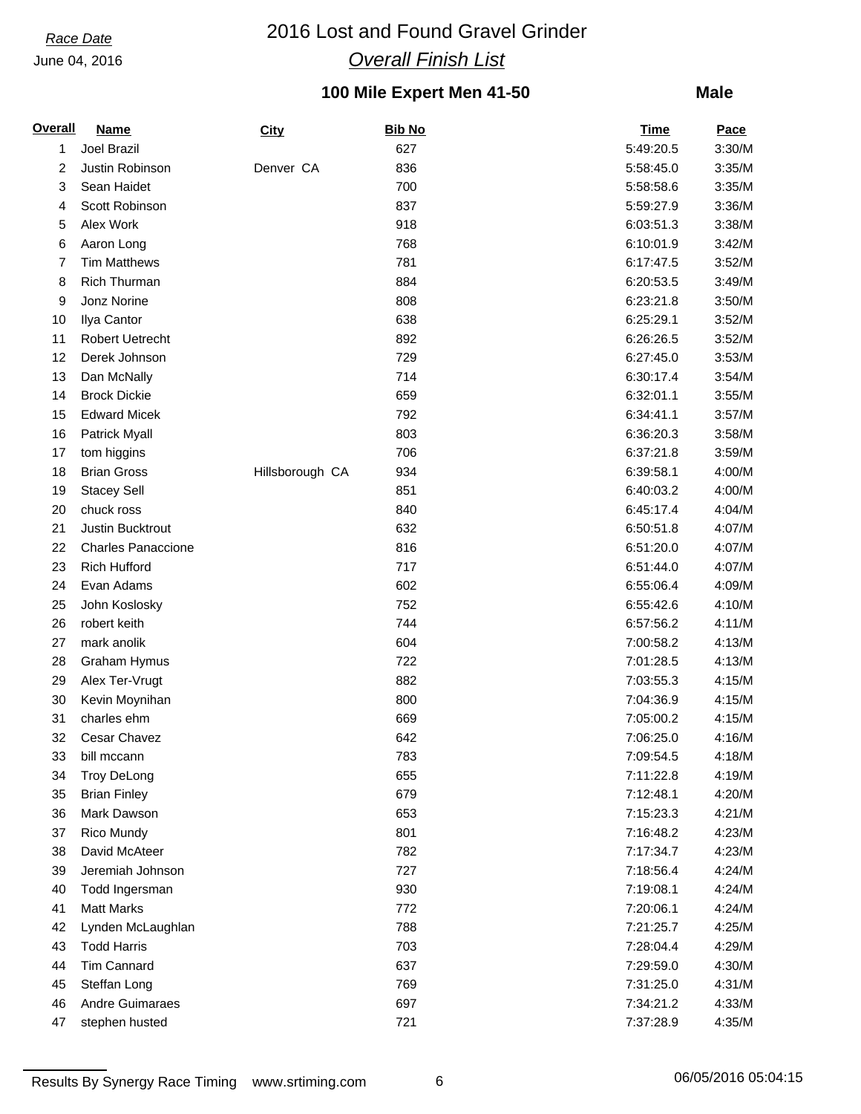# *Race Date* 2016 Lost and Found Gravel Grinder *Overall Finish List*

# **100 Mile Expert Men 41-50**

| <b>Overall</b> | <b>Name</b>               | <b>City</b>     | <b>Bib No</b> | <b>Time</b> | <b>Pace</b> |
|----------------|---------------------------|-----------------|---------------|-------------|-------------|
| 1              | Joel Brazil               |                 | 627           | 5:49:20.5   | 3:30/M      |
| 2              | Justin Robinson           | Denver CA       | 836           | 5:58:45.0   | 3:35/M      |
| 3              | Sean Haidet               |                 | 700           | 5:58:58.6   | 3:35/M      |
| 4              | Scott Robinson            |                 | 837           | 5:59:27.9   | 3:36/M      |
| 5              | Alex Work                 |                 | 918           | 6:03:51.3   | 3:38/M      |
| 6              | Aaron Long                |                 | 768           | 6:10:01.9   | 3:42/M      |
| 7              | <b>Tim Matthews</b>       |                 | 781           | 6:17:47.5   | 3:52/M      |
| 8              | <b>Rich Thurman</b>       |                 | 884           | 6:20:53.5   | 3:49/M      |
| 9              | Jonz Norine               |                 | 808           | 6:23:21.8   | 3:50/M      |
| 10             | Ilya Cantor               |                 | 638           | 6:25:29.1   | 3:52/M      |
| 11             | <b>Robert Uetrecht</b>    |                 | 892           | 6:26:26.5   | 3:52/M      |
| 12             | Derek Johnson             |                 | 729           | 6:27:45.0   | 3:53/M      |
| 13             | Dan McNally               |                 | 714           | 6:30:17.4   | 3:54/M      |
| 14             | <b>Brock Dickie</b>       |                 | 659           | 6:32:01.1   | 3:55/M      |
| 15             | <b>Edward Micek</b>       |                 | 792           | 6:34:41.1   | 3:57/M      |
| 16             | Patrick Myall             |                 | 803           | 6:36:20.3   | 3:58/M      |
| 17             | tom higgins               |                 | 706           | 6:37:21.8   | 3:59/M      |
| 18             | <b>Brian Gross</b>        | Hillsborough CA | 934           | 6:39:58.1   | 4:00/M      |
| 19             | <b>Stacey Sell</b>        |                 | 851           | 6:40:03.2   | 4:00/M      |
| 20             | chuck ross                |                 | 840           | 6:45:17.4   | 4:04/M      |
| 21             | Justin Bucktrout          |                 | 632           | 6:50:51.8   | 4:07/M      |
| 22             | <b>Charles Panaccione</b> |                 | 816           | 6:51:20.0   | 4:07/M      |
| 23             | <b>Rich Hufford</b>       |                 | 717           | 6:51:44.0   | 4:07/M      |
| 24             | Evan Adams                |                 | 602           | 6:55:06.4   | 4:09/M      |
| 25             | John Koslosky             |                 | 752           | 6:55:42.6   | 4:10/M      |
| 26             | robert keith              |                 | 744           | 6:57:56.2   | 4:11/M      |
| 27             | mark anolik               |                 | 604           | 7:00:58.2   | 4:13/M      |
| 28             | Graham Hymus              |                 | 722           | 7:01:28.5   | 4:13/M      |
| 29             | Alex Ter-Vrugt            |                 | 882           | 7:03:55.3   | 4:15/M      |
| 30             | Kevin Moynihan            |                 | 800           | 7:04:36.9   | 4:15/M      |
| 31             | charles ehm               |                 | 669           | 7:05:00.2   | 4:15/M      |
| 32             | Cesar Chavez              |                 | 642           | 7:06:25.0   | 4:16/M      |
| 33             | bill mccann               |                 | 783           | 7:09:54.5   | 4:18/M      |
| 34             | <b>Troy DeLong</b>        |                 | 655           | 7:11:22.8   | 4:19/M      |
| 35             | <b>Brian Finley</b>       |                 | 679           | 7:12:48.1   | 4:20/M      |
| 36             | Mark Dawson               |                 | 653           | 7:15:23.3   | 4:21/M      |
| 37             | Rico Mundy                |                 | 801           | 7:16:48.2   | 4:23/M      |
| 38             | David McAteer             |                 | 782           | 7:17:34.7   | 4:23/M      |
| 39             | Jeremiah Johnson          |                 | 727           | 7:18:56.4   | 4:24/M      |
| 40             | Todd Ingersman            |                 | 930           | 7:19:08.1   | 4:24/M      |
| 41             | <b>Matt Marks</b>         |                 | 772           | 7:20:06.1   | 4:24/M      |
| 42             | Lynden McLaughlan         |                 | 788           | 7:21:25.7   | 4:25/M      |
| 43             | <b>Todd Harris</b>        |                 | 703           | 7:28:04.4   | 4:29/M      |
| 44             | Tim Cannard               |                 | 637           | 7:29:59.0   | 4:30/M      |
| 45             | Steffan Long              |                 | 769           | 7:31:25.0   | 4:31/M      |
| 46             | Andre Guimaraes           |                 | 697           | 7:34:21.2   | 4:33/M      |
| 47             | stephen husted            |                 | 721           | 7:37:28.9   | 4:35/M      |
|                |                           |                 |               |             |             |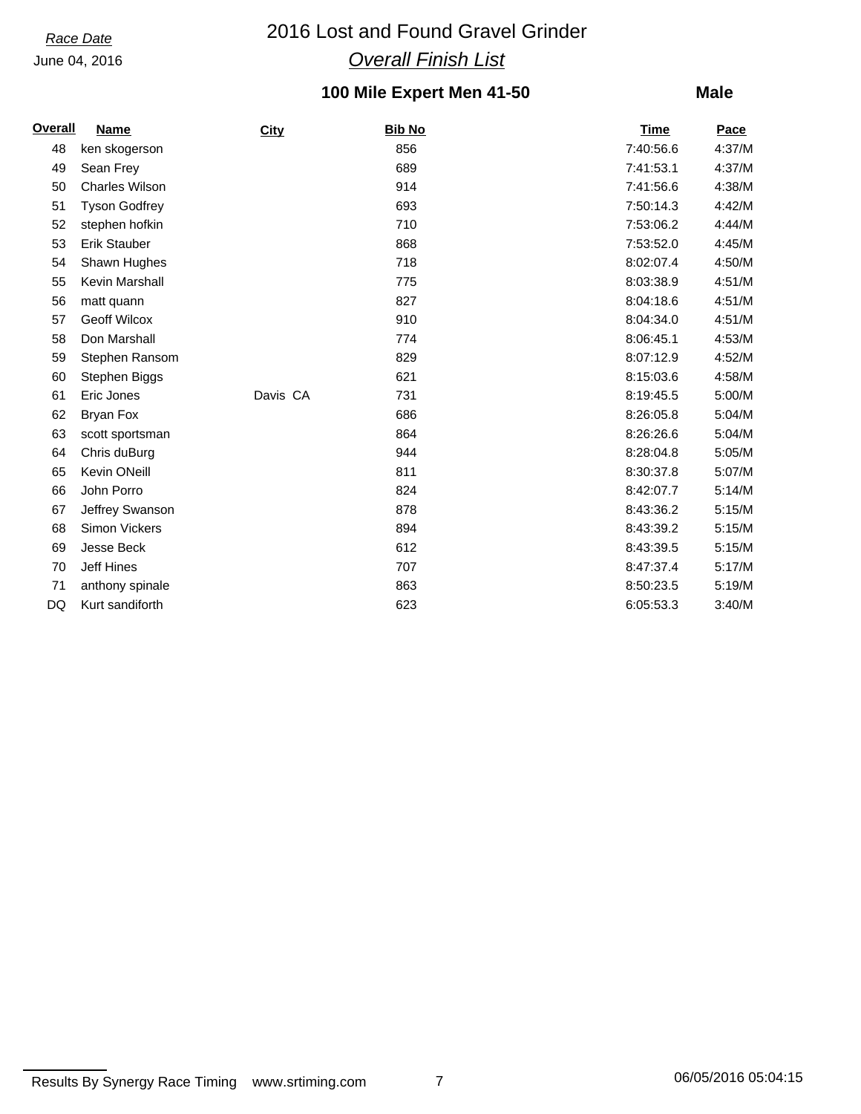# *Race Date* 2016 Lost and Found Gravel Grinder *Overall Finish List*

# **100 Mile Expert Men 41-50**

| <b>Overall</b> | <b>Name</b>           | <b>City</b> | <b>Bib No</b> | <b>Time</b> | Pace   |
|----------------|-----------------------|-------------|---------------|-------------|--------|
| 48             | ken skogerson         |             | 856           | 7:40:56.6   | 4:37/M |
| 49             | Sean Frey             |             | 689           | 7:41:53.1   | 4:37/M |
| 50             | <b>Charles Wilson</b> |             | 914           | 7:41:56.6   | 4:38/M |
| 51             | <b>Tyson Godfrey</b>  |             | 693           | 7:50:14.3   | 4:42/M |
| 52             | stephen hofkin        |             | 710           | 7:53:06.2   | 4:44/M |
| 53             | <b>Erik Stauber</b>   |             | 868           | 7:53:52.0   | 4:45/M |
| 54             | Shawn Hughes          |             | 718           | 8:02:07.4   | 4:50/M |
| 55             | Kevin Marshall        |             | 775           | 8:03:38.9   | 4:51/M |
| 56             | matt quann            |             | 827           | 8:04:18.6   | 4:51/M |
| 57             | <b>Geoff Wilcox</b>   |             | 910           | 8:04:34.0   | 4:51/M |
| 58             | Don Marshall          |             | 774           | 8:06:45.1   | 4:53/M |
| 59             | Stephen Ransom        |             | 829           | 8:07:12.9   | 4:52/M |
| 60             | Stephen Biggs         |             | 621           | 8:15:03.6   | 4:58/M |
| 61             | Eric Jones            | Davis CA    | 731           | 8:19:45.5   | 5:00/M |
| 62             | <b>Bryan Fox</b>      |             | 686           | 8:26:05.8   | 5:04/M |
| 63             | scott sportsman       |             | 864           | 8:26:26.6   | 5:04/M |
| 64             | Chris duBurg          |             | 944           | 8:28:04.8   | 5:05/M |
| 65             | Kevin ONeill          |             | 811           | 8:30:37.8   | 5:07/M |
| 66             | John Porro            |             | 824           | 8:42:07.7   | 5:14/M |
| 67             | Jeffrey Swanson       |             | 878           | 8:43:36.2   | 5:15/M |
| 68             | <b>Simon Vickers</b>  |             | 894           | 8:43:39.2   | 5:15/M |
| 69             | Jesse Beck            |             | 612           | 8:43:39.5   | 5:15/M |
| 70             | Jeff Hines            |             | 707           | 8:47:37.4   | 5:17/M |
| 71             | anthony spinale       |             | 863           | 8:50:23.5   | 5:19/M |
| DQ             | Kurt sandiforth       |             | 623           | 6:05:53.3   | 3:40/M |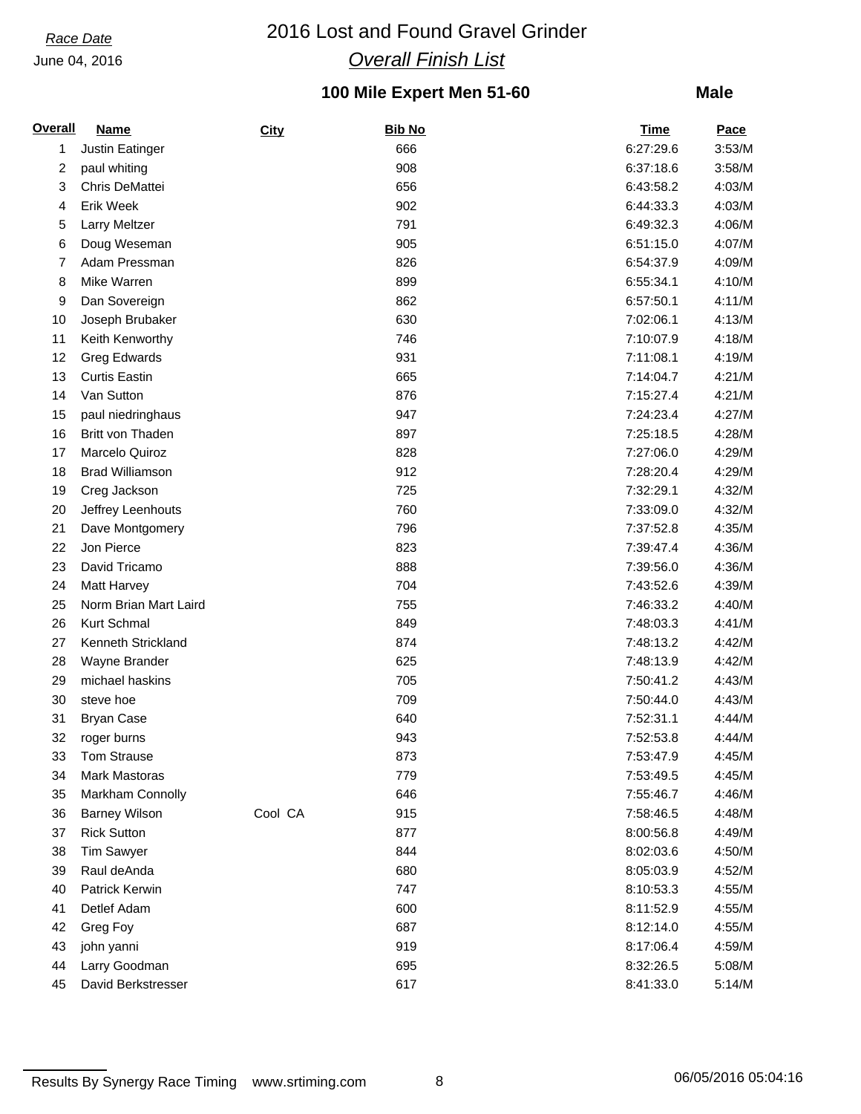# *Race Date* 2016 Lost and Found Gravel Grinder *Overall Finish List*

# **100 Mile Expert Men 51-60**

| <b>Overall</b> | <b>Name</b>            | City    | <b>Bib No</b> | Time      | <b>Pace</b> |
|----------------|------------------------|---------|---------------|-----------|-------------|
| 1              | Justin Eatinger        |         | 666           | 6:27:29.6 | 3:53/M      |
| 2              | paul whiting           |         | 908           | 6:37:18.6 | 3:58/M      |
| 3              | Chris DeMattei         |         | 656           | 6:43:58.2 | 4:03/M      |
| 4              | Erik Week              |         | 902           | 6:44:33.3 | 4:03/M      |
| 5              | <b>Larry Meltzer</b>   |         | 791           | 6:49:32.3 | 4:06/M      |
| 6              | Doug Weseman           |         | 905           | 6:51:15.0 | 4:07/M      |
| 7              | Adam Pressman          |         | 826           | 6:54:37.9 | 4:09/M      |
| 8              | Mike Warren            |         | 899           | 6:55:34.1 | 4:10/M      |
| 9              | Dan Sovereign          |         | 862           | 6:57:50.1 | 4:11/M      |
| 10             | Joseph Brubaker        |         | 630           | 7:02:06.1 | 4:13/M      |
| 11             | Keith Kenworthy        |         | 746           | 7:10:07.9 | 4:18/M      |
| 12             | Greg Edwards           |         | 931           | 7:11:08.1 | 4:19/M      |
| 13             | <b>Curtis Eastin</b>   |         | 665           | 7:14:04.7 | 4:21/M      |
| 14             | Van Sutton             |         | 876           | 7:15:27.4 | 4:21/M      |
| 15             | paul niedringhaus      |         | 947           | 7:24:23.4 | 4:27/M      |
| 16             | Britt von Thaden       |         | 897           | 7:25:18.5 | 4:28/M      |
| 17             | Marcelo Quiroz         |         | 828           | 7:27:06.0 | 4:29/M      |
| 18             | <b>Brad Williamson</b> |         | 912           | 7:28:20.4 | 4:29/M      |
| 19             | Creg Jackson           |         | 725           | 7:32:29.1 | 4:32/M      |
| 20             | Jeffrey Leenhouts      |         | 760           | 7:33:09.0 | 4:32/M      |
| 21             | Dave Montgomery        |         | 796           | 7:37:52.8 | 4:35/M      |
| 22             | Jon Pierce             |         | 823           | 7:39:47.4 | 4:36/M      |
| 23             | David Tricamo          |         | 888           | 7:39:56.0 | 4:36/M      |
| 24             | <b>Matt Harvey</b>     |         | 704           | 7:43:52.6 | 4:39/M      |
| 25             | Norm Brian Mart Laird  |         | 755           | 7:46:33.2 | 4:40/M      |
| 26             | Kurt Schmal            |         | 849           | 7:48:03.3 | 4:41/M      |
| 27             | Kenneth Strickland     |         | 874           | 7:48:13.2 | 4:42/M      |
| 28             | Wayne Brander          |         | 625           | 7:48:13.9 | 4:42/M      |
| 29             | michael haskins        |         | 705           | 7:50:41.2 | 4:43/M      |
| 30             | steve hoe              |         | 709           | 7:50:44.0 | 4:43/M      |
| 31             | <b>Bryan Case</b>      |         | 640           | 7:52:31.1 | 4:44/M      |
| 32             | roger burns            |         | 943           | 7:52:53.8 | 4:44/M      |
| 33             | <b>Tom Strause</b>     |         | 873           | 7:53:47.9 | 4:45/M      |
| 34             | Mark Mastoras          |         | 779           | 7:53:49.5 | 4:45/M      |
| 35             | Markham Connolly       |         | 646           | 7:55:46.7 | 4:46/M      |
| 36             | <b>Barney Wilson</b>   | Cool CA | 915           | 7:58:46.5 | 4:48/M      |
| 37             | <b>Rick Sutton</b>     |         | 877           | 8:00:56.8 | 4:49/M      |
| 38             | <b>Tim Sawyer</b>      |         | 844           | 8:02:03.6 | 4:50/M      |
| 39             | Raul deAnda            |         | 680           | 8:05:03.9 | 4:52/M      |
| 40             | Patrick Kerwin         |         | 747           | 8:10:53.3 | 4:55/M      |
| 41             | Detlef Adam            |         | 600           | 8:11:52.9 | 4:55/M      |
| 42             | Greg Foy               |         | 687           | 8:12:14.0 | 4:55/M      |
| 43             | john yanni             |         | 919           | 8:17:06.4 | 4:59/M      |
| 44             | Larry Goodman          |         | 695           | 8:32:26.5 | 5:08/M      |
| 45             | David Berkstresser     |         | 617           | 8:41:33.0 | 5:14/M      |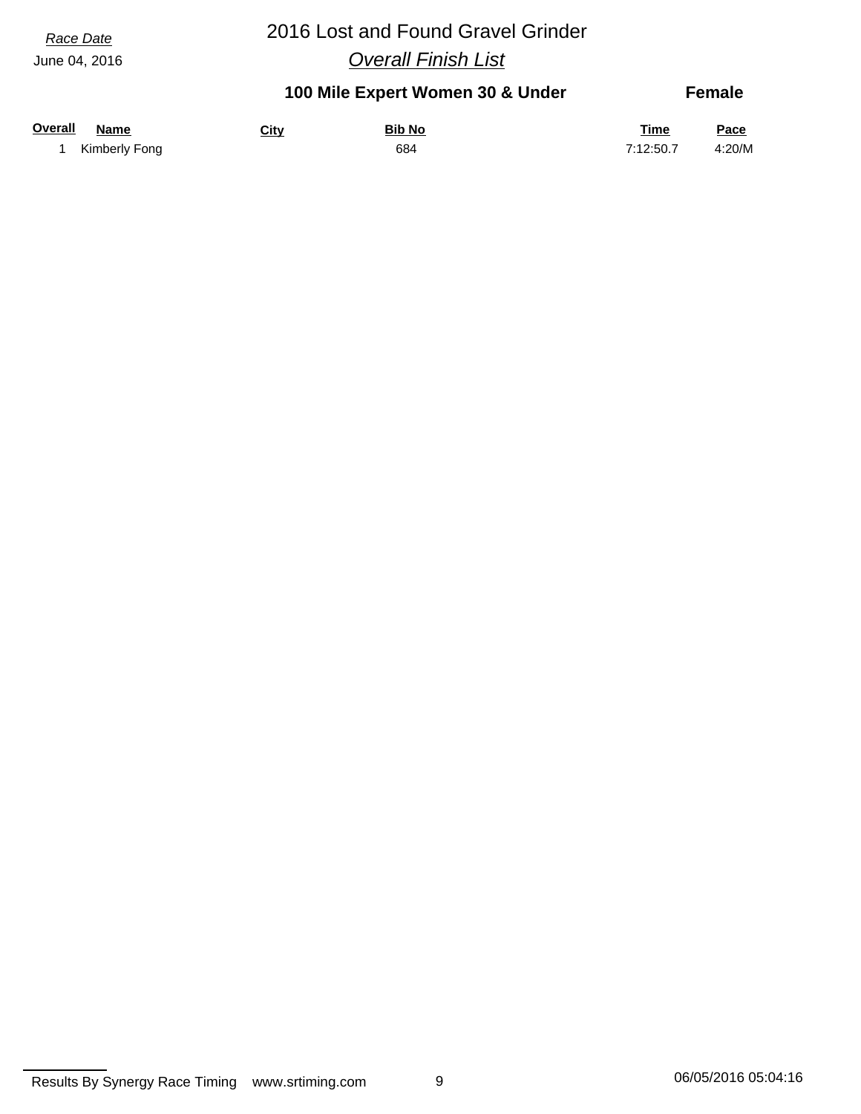# *Race Date* 2016 Lost and Found Gravel Grinder

*Overall Finish List*

### **100 Mile Expert Women 30 & Under Overall Name Bib No Time Pace Female City** 1 Kimberly Fong 684 7:12:50.7 4:20/M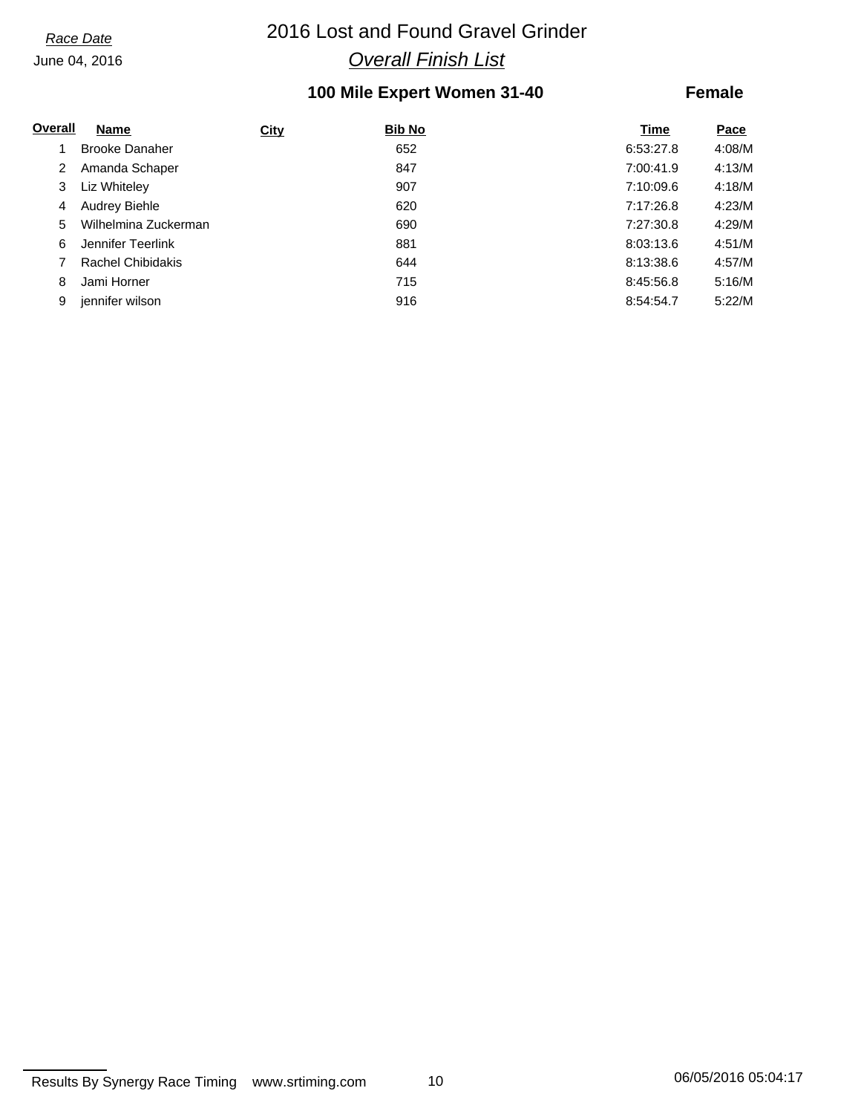# *Race Date* 2016 Lost and Found Gravel Grinder *Overall Finish List*

## **100 Mile Expert Women 31-40**

## **Female**

| Overall | <b>Name</b>              | City | <b>Bib No</b> | Time      | Pace   |
|---------|--------------------------|------|---------------|-----------|--------|
|         | <b>Brooke Danaher</b>    |      | 652           | 6:53:27.8 | 4:08/M |
| 2       | Amanda Schaper           |      | 847           | 7:00:41.9 | 4:13/M |
| 3       | Liz Whiteley             |      | 907           | 7:10:09.6 | 4:18/M |
| 4       | <b>Audrey Biehle</b>     |      | 620           | 7:17:26.8 | 4:23/M |
| 5.      | Wilhelmina Zuckerman     |      | 690           | 7:27:30.8 | 4:29/M |
| 6       | Jennifer Teerlink        |      | 881           | 8:03:13.6 | 4:51/M |
|         | <b>Rachel Chibidakis</b> |      | 644           | 8:13:38.6 | 4:57/M |
| 8       | Jami Horner              |      | 715           | 8:45:56.8 | 5:16/M |
| 9       | jennifer wilson          |      | 916           | 8:54:54.7 | 5:22/M |

Results By Synergy Race Timing www.srtiming.com 10 10 06/05/2016 05:04:17